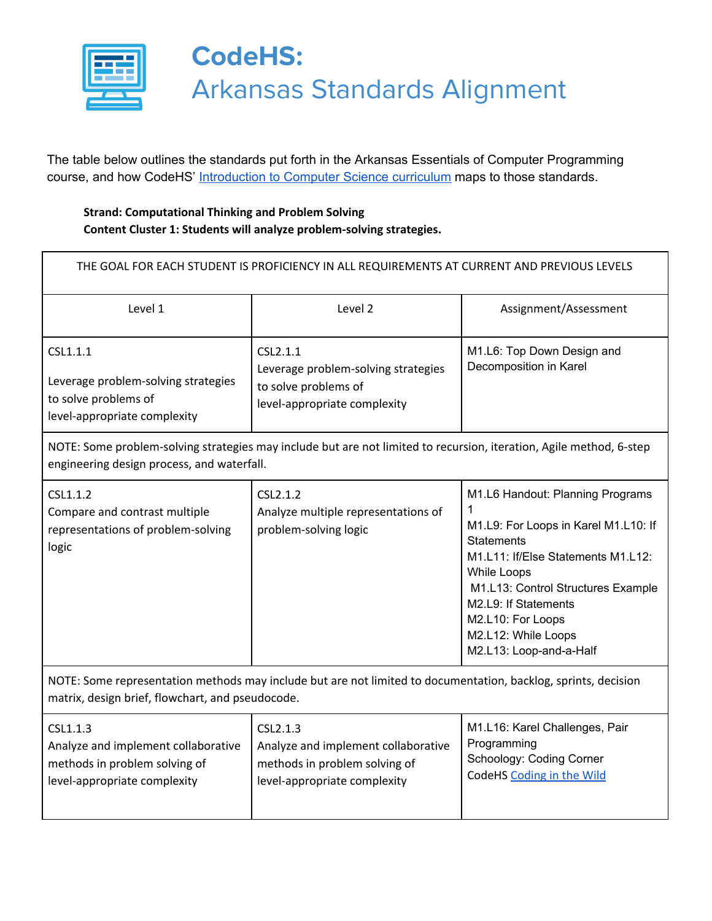

The table below outlines the standards put forth in the Arkansas Essentials of Computer Programming course, and how CodeHS' [Introduction](http://codehs.com/introcs) to Computer Science curriculum maps to those standards.

### **Strand: Computational Thinking and Problem Solving Content Cluster 1: Students will analyze problem-solving strategies.**

| THE GOAL FOR EACH STUDENT IS PROFICIENCY IN ALL REQUIREMENTS AT CURRENT AND PREVIOUS LEVELS                                                                        |                                                                                                                  |                                                                                                                                                                                                                                                                                              |  |
|--------------------------------------------------------------------------------------------------------------------------------------------------------------------|------------------------------------------------------------------------------------------------------------------|----------------------------------------------------------------------------------------------------------------------------------------------------------------------------------------------------------------------------------------------------------------------------------------------|--|
| Level 1                                                                                                                                                            | Level 2                                                                                                          | Assignment/Assessment                                                                                                                                                                                                                                                                        |  |
| CSL1.1.1<br>Leverage problem-solving strategies<br>to solve problems of<br>level-appropriate complexity                                                            | CSL2.1.1<br>Leverage problem-solving strategies<br>to solve problems of<br>level-appropriate complexity          | M1.L6: Top Down Design and<br>Decomposition in Karel                                                                                                                                                                                                                                         |  |
| NOTE: Some problem-solving strategies may include but are not limited to recursion, iteration, Agile method, 6-step<br>engineering design process, and waterfall.  |                                                                                                                  |                                                                                                                                                                                                                                                                                              |  |
| CSL1.1.2<br>Compare and contrast multiple<br>representations of problem-solving<br>logic                                                                           | CSL <sub>2</sub> .1.2<br>Analyze multiple representations of<br>problem-solving logic                            | M1.L6 Handout: Planning Programs<br>1<br>M1.L9: For Loops in Karel M1.L10: If<br><b>Statements</b><br>M1.L11: If/Else Statements M1.L12:<br>While Loops<br>M1.L13: Control Structures Example<br>M2.L9: If Statements<br>M2.L10: For Loops<br>M2.L12: While Loops<br>M2.L13: Loop-and-a-Half |  |
| NOTE: Some representation methods may include but are not limited to documentation, backlog, sprints, decision<br>matrix, design brief, flowchart, and pseudocode. |                                                                                                                  |                                                                                                                                                                                                                                                                                              |  |
| CSL1.1.3<br>Analyze and implement collaborative<br>methods in problem solving of<br>level-appropriate complexity                                                   | CSL2.1.3<br>Analyze and implement collaborative<br>methods in problem solving of<br>level-appropriate complexity | M1.L16: Karel Challenges, Pair<br>Programming<br>Schoology: Coding Corner<br>CodeHS Coding in the Wild                                                                                                                                                                                       |  |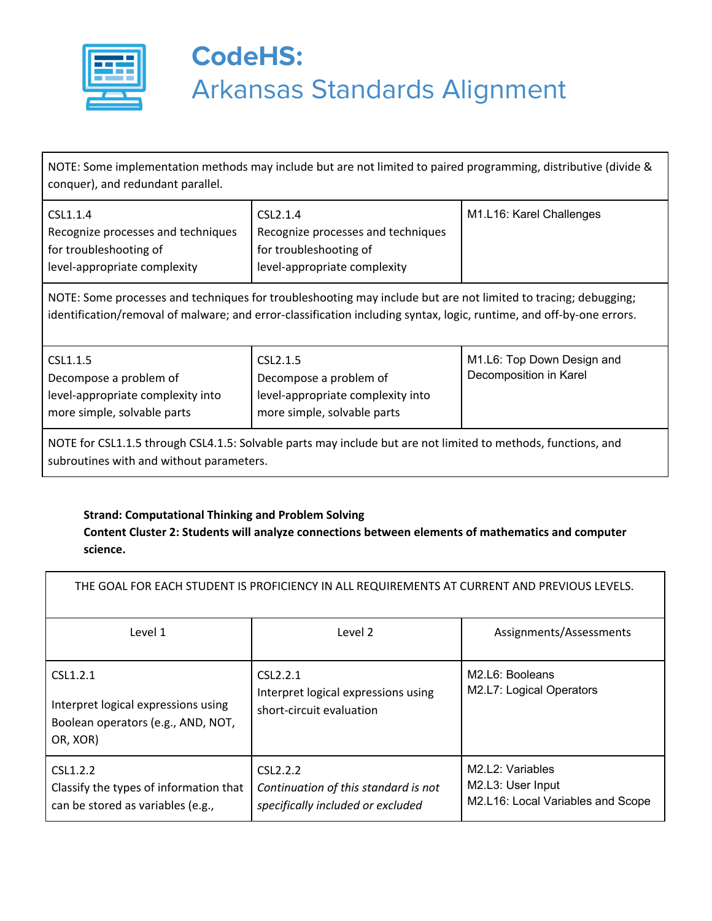

NOTE: Some implementation methods may include but are not limited to paired programming, distributive (divide & conquer), and redundant parallel.

| CSL1.1.4                           | CSL2.1.4                           | M1.L16: Karel Challenges |
|------------------------------------|------------------------------------|--------------------------|
| Recognize processes and techniques | Recognize processes and techniques |                          |
| for troubleshooting of             | for troubleshooting of             |                          |
| level-appropriate complexity       | level-appropriate complexity       |                          |

NOTE: Some processes and techniques for troubleshooting may include but are not limited to tracing; debugging; identification/removal of malware; and error-classification including syntax, logic, runtime, and off-by-one errors.

| more simple, solvable parts<br>more simple, solvable parts | CSL1.1.5<br>Decompose a problem of<br>level-appropriate complexity into | CSL2.1.5<br>Decompose a problem of<br>level-appropriate complexity into | M1.L6: Top Down Design and<br>Decomposition in Karel |
|------------------------------------------------------------|-------------------------------------------------------------------------|-------------------------------------------------------------------------|------------------------------------------------------|
|------------------------------------------------------------|-------------------------------------------------------------------------|-------------------------------------------------------------------------|------------------------------------------------------|

NOTE for CSL1.1.5 through CSL4.1.5: Solvable parts may include but are not limited to methods, functions, and subroutines with and without parameters.

#### **Strand: Computational Thinking and Problem Solving**

#### **Content Cluster 2: Students will analyze connections between elements of mathematics and computer science.**

| THE GOAL FOR EACH STUDENT IS PROFICIENCY IN ALL REQUIREMENTS AT CURRENT AND PREVIOUS LEVELS.      |                                                                                                    |                                                                            |
|---------------------------------------------------------------------------------------------------|----------------------------------------------------------------------------------------------------|----------------------------------------------------------------------------|
| Level 1                                                                                           | Level 2                                                                                            | Assignments/Assessments                                                    |
| CSL1.2.1<br>Interpret logical expressions using<br>Boolean operators (e.g., AND, NOT,<br>OR, XOR) | CSL <sub>2.2.1</sub><br>Interpret logical expressions using<br>short-circuit evaluation            | M <sub>2</sub> .L <sub>6</sub> : Booleans<br>M2.L7: Logical Operators      |
| CSL1.2.2<br>Classify the types of information that<br>can be stored as variables (e.g.,           | CSL <sub>2</sub> .2.2<br>Continuation of this standard is not<br>specifically included or excluded | M2.L2: Variables<br>M2.L3: User Input<br>M2.L16: Local Variables and Scope |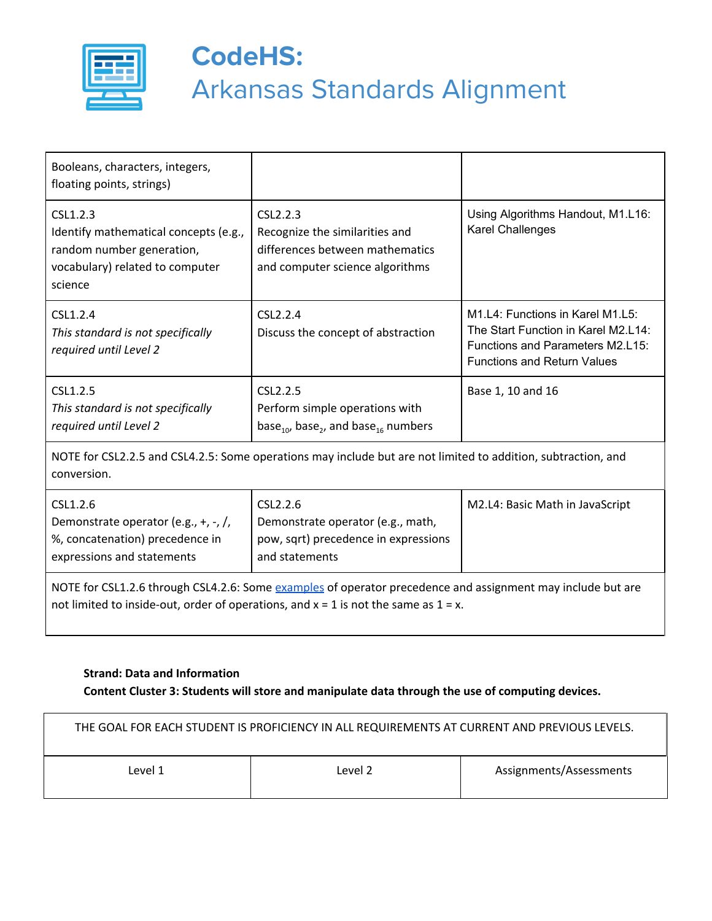

| Booleans, characters, integers,<br>floating points, strings)                                                                                                                                            |                                                                                                                       |                                                                                                                                                   |
|---------------------------------------------------------------------------------------------------------------------------------------------------------------------------------------------------------|-----------------------------------------------------------------------------------------------------------------------|---------------------------------------------------------------------------------------------------------------------------------------------------|
| CSL1.2.3<br>Identify mathematical concepts (e.g.,<br>random number generation,<br>vocabulary) related to computer<br>science                                                                            | CSL2.2.3<br>Recognize the similarities and<br>differences between mathematics<br>and computer science algorithms      | Using Algorithms Handout, M1.L16:<br>Karel Challenges                                                                                             |
| CSL1.2.4<br>This standard is not specifically<br>required until Level 2                                                                                                                                 | CSL2.2.4<br>Discuss the concept of abstraction                                                                        | M1.L4: Functions in Karel M1.L5:<br>The Start Function in Karel M2.L14:<br>Functions and Parameters M2.L15:<br><b>Functions and Return Values</b> |
| CSL1.2.5<br>This standard is not specifically<br>required until Level 2                                                                                                                                 | CSL2.2.5<br>Perform simple operations with<br>base <sub>10</sub> , base <sub>2</sub> , and base <sub>16</sub> numbers | Base 1, 10 and 16                                                                                                                                 |
| NOTE for CSL2.2.5 and CSL4.2.5: Some operations may include but are not limited to addition, subtraction, and<br>conversion.                                                                            |                                                                                                                       |                                                                                                                                                   |
| CSL1.2.6<br>Demonstrate operator (e.g., +, -, /,<br>%, concatenation) precedence in<br>expressions and statements                                                                                       | CSL2.2.6<br>Demonstrate operator (e.g., math,<br>pow, sqrt) precedence in expressions<br>and statements               | M2.L4: Basic Math in JavaScript                                                                                                                   |
| NOTE for CSL1.2.6 through CSL4.2.6: Some examples of operator precedence and assignment may include but are<br>not limited to inside-out, order of operations, and $x = 1$ is not the same as $1 = x$ . |                                                                                                                       |                                                                                                                                                   |

#### **Strand: Data and Information Content Cluster 3: Students will store and manipulate data through the use of computing devices.**

| THE GOAL FOR EACH STUDENT IS PROFICIENCY IN ALL REQUIREMENTS AT CURRENT AND PREVIOUS LEVELS. |         |                         |
|----------------------------------------------------------------------------------------------|---------|-------------------------|
| Level 1                                                                                      | Level 2 | Assignments/Assessments |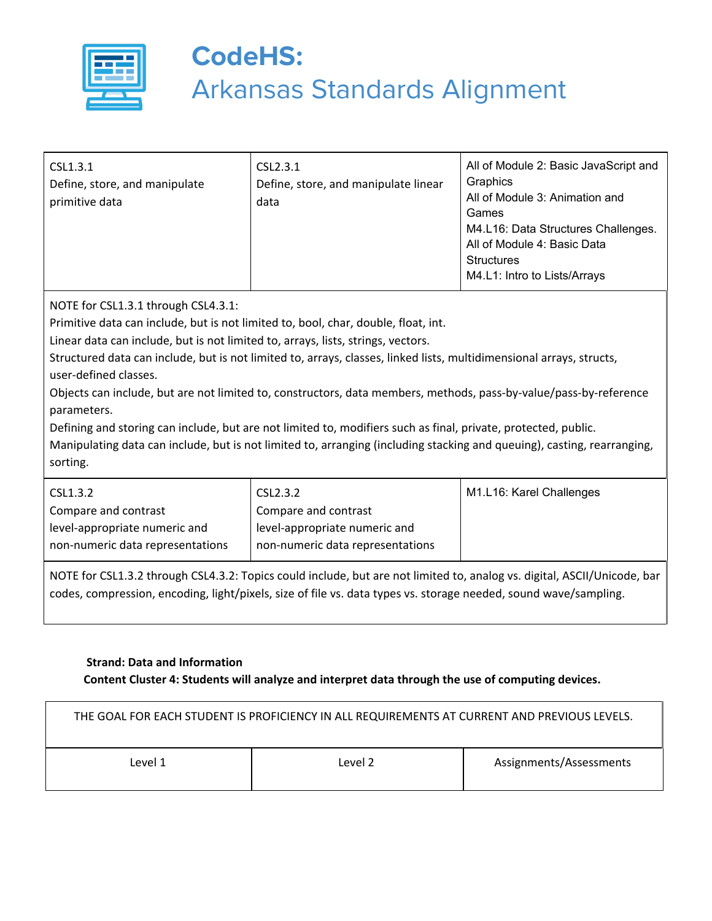

| CSL1.3.1<br>Define, store, and manipulate<br>primitive data | CSL2.3.1<br>Define, store, and manipulate linear<br>data | All of Module 2: Basic JavaScript and<br>Graphics<br>All of Module 3: Animation and<br>Games<br>M4.L16: Data Structures Challenges.<br>All of Module 4: Basic Data<br><b>Structures</b><br>M4.L1: Intro to Lists/Arrays |
|-------------------------------------------------------------|----------------------------------------------------------|-------------------------------------------------------------------------------------------------------------------------------------------------------------------------------------------------------------------------|
|-------------------------------------------------------------|----------------------------------------------------------|-------------------------------------------------------------------------------------------------------------------------------------------------------------------------------------------------------------------------|

NOTE for CSL1.3.1 through CSL4.3.1:

Primitive data can include, but is not limited to, bool, char, double, float, int.

Linear data can include, but is not limited to, arrays, lists, strings, vectors.

Structured data can include, but is not limited to, arrays, classes, linked lists, multidimensional arrays, structs, user-defined classes.

Objects can include, but are not limited to, constructors, data members, methods, pass-by-value/pass-by-reference parameters.

Defining and storing can include, but are not limited to, modifiers such as final, private, protected, public. Manipulating data can include, but is not limited to, arranging (including stacking and queuing), casting, rearranging, sorting.

| CSL1.3.2                         | CSL2.3.2                         | M1.L16: Karel Challenges |
|----------------------------------|----------------------------------|--------------------------|
| Compare and contrast             | Compare and contrast             |                          |
| level-appropriate numeric and    | level-appropriate numeric and    |                          |
| non-numeric data representations | non-numeric data representations |                          |
|                                  |                                  |                          |

NOTE for CSL1.3.2 through CSL4.3.2: Topics could include, but are not limited to, analog vs. digital, ASCII/Unicode, bar codes, compression, encoding, light/pixels, size of file vs. data types vs. storage needed, sound wave/sampling.

#### **Strand: Data and Information Content Cluster 4: Students will analyze and interpret data through the use of computing devices.**

| THE GOAL FOR EACH STUDENT IS PROFICIENCY IN ALL REQUIREMENTS AT CURRENT AND PREVIOUS LEVELS. |         |                         |
|----------------------------------------------------------------------------------------------|---------|-------------------------|
| Level 1                                                                                      | Level 2 | Assignments/Assessments |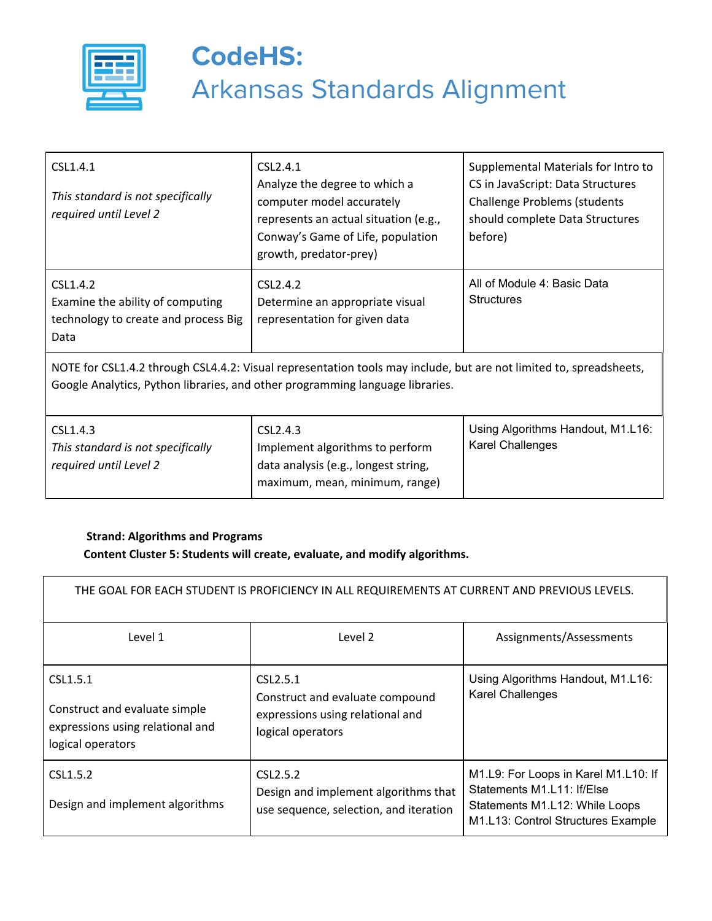

| CSL1.4.1<br>This standard is not specifically<br>required until Level 2                                                                                                                             | CSL2.4.1<br>Analyze the degree to which a<br>computer model accurately<br>represents an actual situation (e.g.,<br>Conway's Game of Life, population<br>growth, predator-prey) | Supplemental Materials for Intro to<br>CS in JavaScript: Data Structures<br><b>Challenge Problems (students</b><br>should complete Data Structures<br>before) |
|-----------------------------------------------------------------------------------------------------------------------------------------------------------------------------------------------------|--------------------------------------------------------------------------------------------------------------------------------------------------------------------------------|---------------------------------------------------------------------------------------------------------------------------------------------------------------|
| CSL1.4.2<br>Examine the ability of computing<br>technology to create and process Big<br>Data                                                                                                        | CSL2.4.2<br>Determine an appropriate visual<br>representation for given data                                                                                                   | All of Module 4: Basic Data<br><b>Structures</b>                                                                                                              |
| NOTE for CSL1.4.2 through CSL4.4.2: Visual representation tools may include, but are not limited to, spreadsheets,<br>Google Analytics, Python libraries, and other programming language libraries. |                                                                                                                                                                                |                                                                                                                                                               |
| CSL1.4.3<br>This standard is not specifically<br>required until Level 2                                                                                                                             | CSL2.4.3<br>Implement algorithms to perform<br>data analysis (e.g., longest string,<br>maximum, mean, minimum, range)                                                          | Using Algorithms Handout, M1.L16:<br><b>Karel Challenges</b>                                                                                                  |

#### **Strand: Algorithms and Programs Content Cluster 5: Students will create, evaluate, and modify algorithms.**

| THE GOAL FOR EACH STUDENT IS PROFICIENCY IN ALL REQUIREMENTS AT CURRENT AND PREVIOUS LEVELS.       |                                                                                                                   |                                                                                                                                            |
|----------------------------------------------------------------------------------------------------|-------------------------------------------------------------------------------------------------------------------|--------------------------------------------------------------------------------------------------------------------------------------------|
| Level 1                                                                                            | Level 2                                                                                                           | Assignments/Assessments                                                                                                                    |
| CSL1.5.1<br>Construct and evaluate simple<br>expressions using relational and<br>logical operators | CSL <sub>2</sub> .5.1<br>Construct and evaluate compound<br>expressions using relational and<br>logical operators | Using Algorithms Handout, M1.L16:<br><b>Karel Challenges</b>                                                                               |
| CSL1.5.2<br>Design and implement algorithms                                                        | CSL <sub>2</sub> .5.2<br>Design and implement algorithms that<br>use sequence, selection, and iteration           | M1.L9: For Loops in Karel M1.L10: If<br>Statements M1.L11: If/Else<br>Statements M1.L12: While Loops<br>M1.L13: Control Structures Example |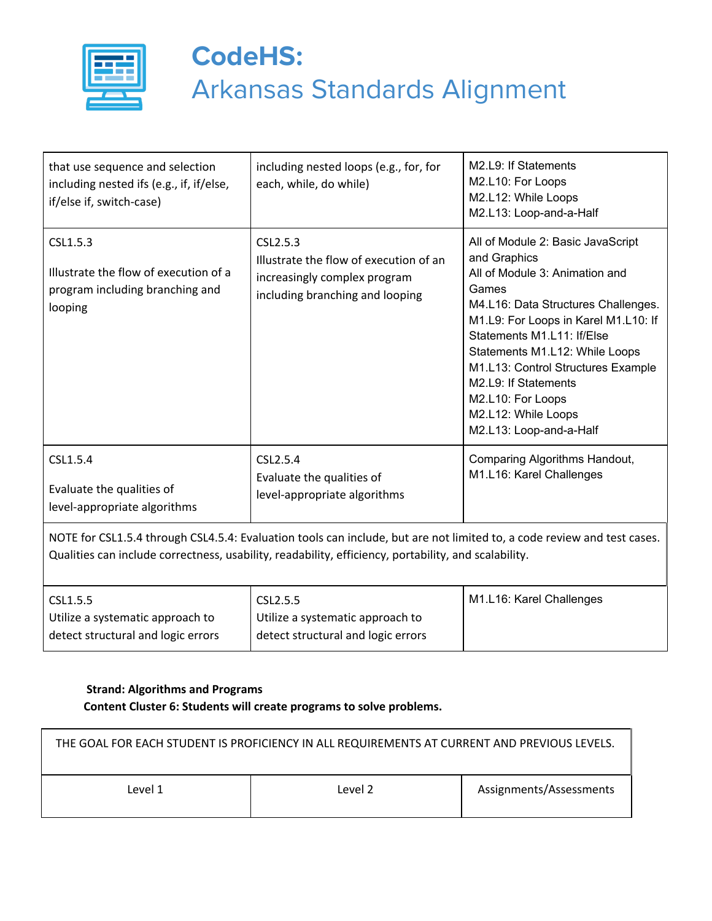

| that use sequence and selection<br>including nested ifs (e.g., if, if/else,<br>if/else if, switch-case) | including nested loops (e.g., for, for<br>each, while, do while)                                                                                                                                                                | M2.L9: If Statements<br>M2.L10: For Loops<br>M2.L12: While Loops<br>M2.L13: Loop-and-a-Half                                                                                                                                                                                                                                                                                      |
|---------------------------------------------------------------------------------------------------------|---------------------------------------------------------------------------------------------------------------------------------------------------------------------------------------------------------------------------------|----------------------------------------------------------------------------------------------------------------------------------------------------------------------------------------------------------------------------------------------------------------------------------------------------------------------------------------------------------------------------------|
| CSL1.5.3<br>Illustrate the flow of execution of a<br>program including branching and<br>looping         | CSL2.5.3<br>Illustrate the flow of execution of an<br>increasingly complex program<br>including branching and looping                                                                                                           | All of Module 2: Basic JavaScript<br>and Graphics<br>All of Module 3: Animation and<br>Games<br>M4.L16: Data Structures Challenges.<br>M1.L9: For Loops in Karel M1.L10: If<br>Statements M1.L11: If/Else<br>Statements M1.L12: While Loops<br>M1.L13: Control Structures Example<br>M2.L9: If Statements<br>M2.L10: For Loops<br>M2.L12: While Loops<br>M2.L13: Loop-and-a-Half |
| CSL1.5.4<br>Evaluate the qualities of<br>level-appropriate algorithms                                   | CSL2.5.4<br>Evaluate the qualities of<br>level-appropriate algorithms                                                                                                                                                           | Comparing Algorithms Handout,<br>M1.L16: Karel Challenges                                                                                                                                                                                                                                                                                                                        |
|                                                                                                         | NOTE for CSL1.5.4 through CSL4.5.4: Evaluation tools can include, but are not limited to, a code review and test cases.<br>Qualities can include correctness, usability, readability, efficiency, portability, and scalability. |                                                                                                                                                                                                                                                                                                                                                                                  |

| CSL1.5.5                           | CSL2.5.5                           | M1.L16: Karel Challenges |
|------------------------------------|------------------------------------|--------------------------|
| Utilize a systematic approach to   | Utilize a systematic approach to   |                          |
| detect structural and logic errors | detect structural and logic errors |                          |

#### **Strand: Algorithms and Programs Content Cluster 6: Students will create programs to solve problems.**

| THE GOAL FOR EACH STUDENT IS PROFICIENCY IN ALL REQUIREMENTS AT CURRENT AND PREVIOUS LEVELS. |  |  |  |
|----------------------------------------------------------------------------------------------|--|--|--|
| Assignments/Assessments<br>Level 2<br>Level 1                                                |  |  |  |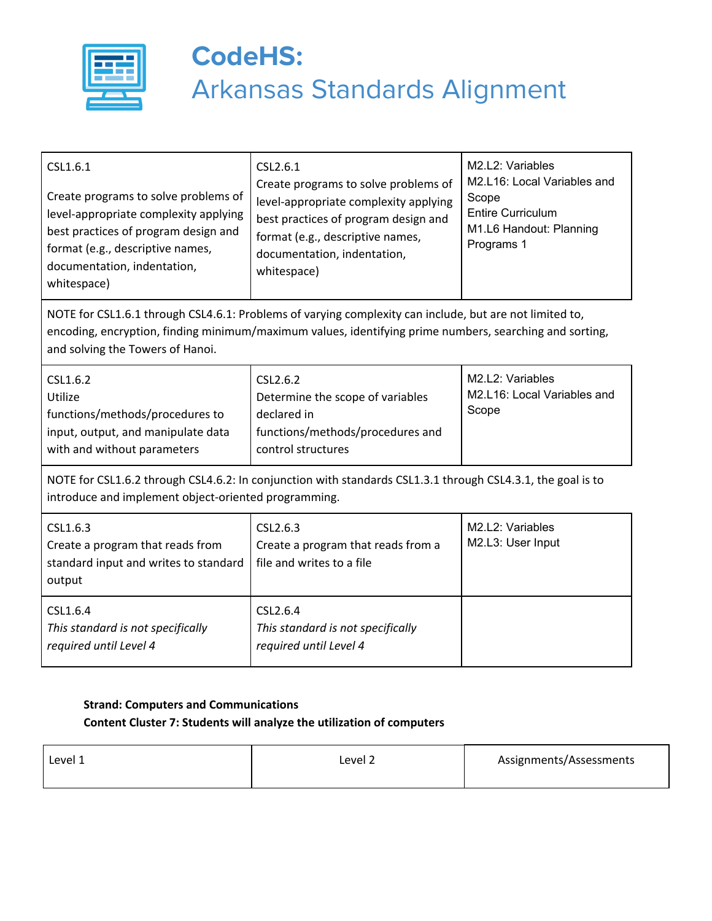

*required until Level 4*

# **CodeHS:** Arkansas Standards Alignment

| CSL1.6.1<br>Create programs to solve problems of<br>level-appropriate complexity applying<br>best practices of program design and<br>format (e.g., descriptive names,<br>documentation, indentation,<br>whitespace)                                    | CSL2.6.1<br>Create programs to solve problems of<br>level-appropriate complexity applying<br>best practices of program design and<br>format (e.g., descriptive names,<br>documentation, indentation,<br>whitespace) | M2.L2: Variables<br>M2.L16: Local Variables and<br>Scope<br><b>Entire Curriculum</b><br>M1.L6 Handout: Planning<br>Programs 1 |  |
|--------------------------------------------------------------------------------------------------------------------------------------------------------------------------------------------------------------------------------------------------------|---------------------------------------------------------------------------------------------------------------------------------------------------------------------------------------------------------------------|-------------------------------------------------------------------------------------------------------------------------------|--|
| NOTE for CSL1.6.1 through CSL4.6.1: Problems of varying complexity can include, but are not limited to,<br>encoding, encryption, finding minimum/maximum values, identifying prime numbers, searching and sorting,<br>and solving the Towers of Hanoi. |                                                                                                                                                                                                                     |                                                                                                                               |  |
| CSL1.6.2<br>Utilize<br>functions/methods/procedures to<br>input, output, and manipulate data<br>with and without parameters                                                                                                                            | CSL2.6.2<br>Determine the scope of variables<br>declared in<br>functions/methods/procedures and<br>control structures                                                                                               | M2.L2: Variables<br>M2.L16: Local Variables and<br>Scope                                                                      |  |
| NOTE for CSL1.6.2 through CSL4.6.2: In conjunction with standards CSL1.3.1 through CSL4.3.1, the goal is to<br>introduce and implement object-oriented programming.                                                                                    |                                                                                                                                                                                                                     |                                                                                                                               |  |
| CSL1.6.3<br>Create a program that reads from<br>standard input and writes to standard<br>output                                                                                                                                                        | CSL2.6.3<br>Create a program that reads from a<br>file and writes to a file                                                                                                                                         | M2.L2: Variables<br>M2.L3: User Input                                                                                         |  |
| CSL1.6.4<br>This standard is not specifically                                                                                                                                                                                                          | CSL2.6.4<br>This standard is not specifically                                                                                                                                                                       |                                                                                                                               |  |

### **Strand: Computers and Communications Content Cluster 7: Students will analyze the utilization of computers**

*required until Level 4*

| Level 1<br>Level 2 | Assignments/Assessments |
|--------------------|-------------------------|
|--------------------|-------------------------|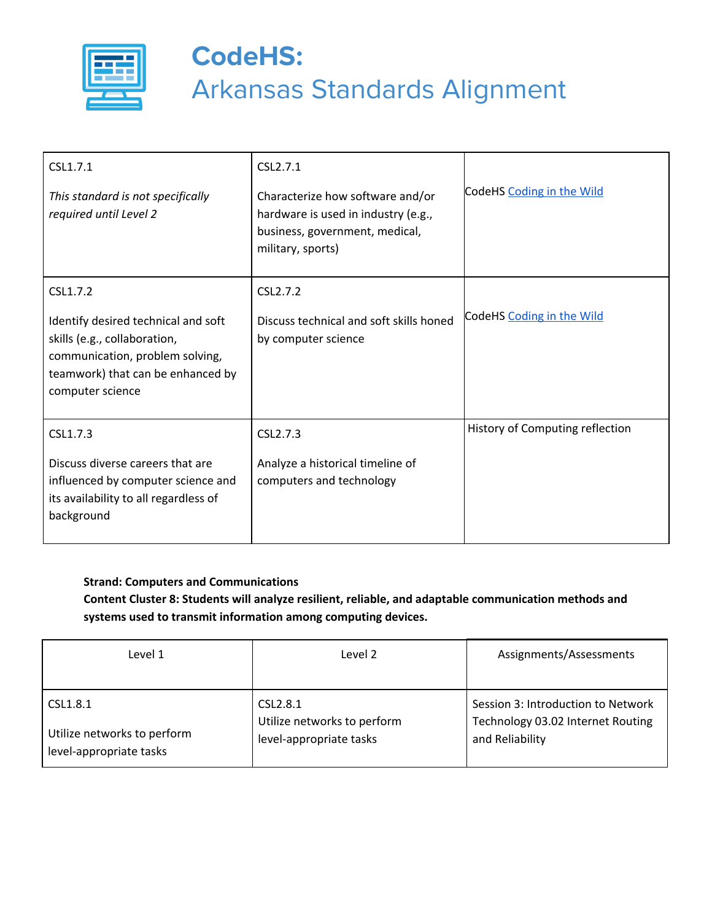

| CSL1.7.1<br>This standard is not specifically<br>required until Level 2                                                                                                     | CSL <sub>2.7.1</sub><br>Characterize how software and/or<br>hardware is used in industry (e.g.,<br>business, government, medical,<br>military, sports) | CodeHS Coding in the Wild       |
|-----------------------------------------------------------------------------------------------------------------------------------------------------------------------------|--------------------------------------------------------------------------------------------------------------------------------------------------------|---------------------------------|
| CSL1.7.2<br>Identify desired technical and soft<br>skills (e.g., collaboration,<br>communication, problem solving,<br>teamwork) that can be enhanced by<br>computer science | CSL2.7.2<br>Discuss technical and soft skills honed<br>by computer science                                                                             | CodeHS Coding in the Wild       |
| CSL1.7.3<br>Discuss diverse careers that are<br>influenced by computer science and<br>its availability to all regardless of<br>background                                   | CSL2.7.3<br>Analyze a historical timeline of<br>computers and technology                                                                               | History of Computing reflection |

#### **Strand: Computers and Communications**

**Content Cluster 8: Students will analyze resilient, reliable, and adaptable communication methods and systems used to transmit information among computing devices.**

| Level 1                                                            | Level 2                                                                        | Assignments/Assessments                                                                    |
|--------------------------------------------------------------------|--------------------------------------------------------------------------------|--------------------------------------------------------------------------------------------|
|                                                                    |                                                                                |                                                                                            |
| CSL1.8.1<br>Utilize networks to perform<br>level-appropriate tasks | CSL <sub>2.8.1</sub><br>Utilize networks to perform<br>level-appropriate tasks | Session 3: Introduction to Network<br>Technology 03.02 Internet Routing<br>and Reliability |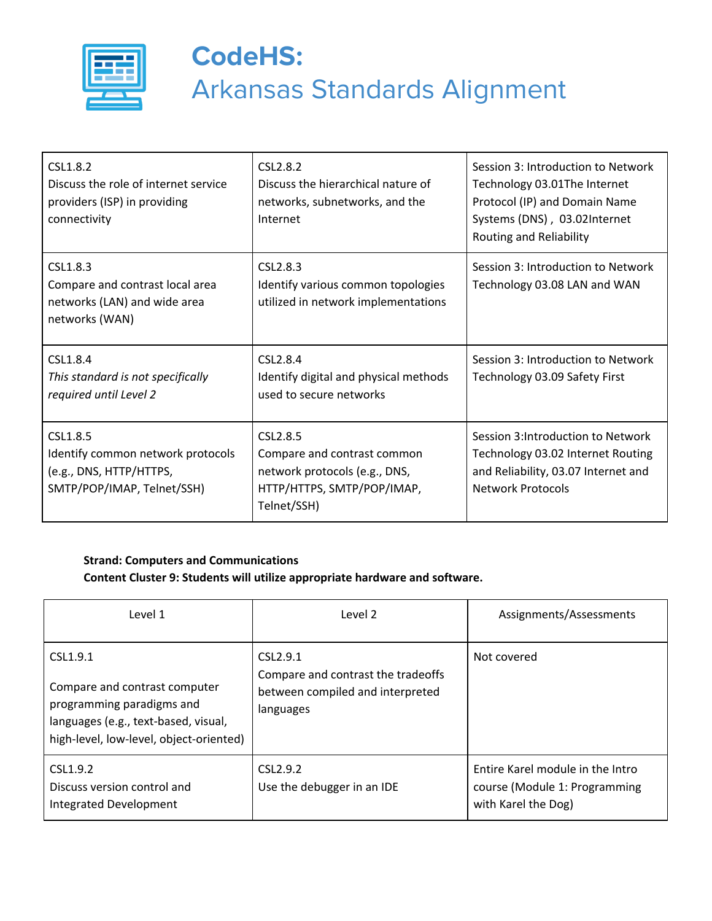

| CSL1.8.2<br>Discuss the role of internet service<br>providers (ISP) in providing<br>connectivity       | CSL <sub>2.8.2</sub><br>Discuss the hierarchical nature of<br>networks, subnetworks, and the<br>Internet                          | Session 3: Introduction to Network<br>Technology 03.01The Internet<br>Protocol (IP) and Domain Name<br>Systems (DNS), 03.02Internet<br>Routing and Reliability |
|--------------------------------------------------------------------------------------------------------|-----------------------------------------------------------------------------------------------------------------------------------|----------------------------------------------------------------------------------------------------------------------------------------------------------------|
| CSL1.8.3<br>Compare and contrast local area<br>networks (LAN) and wide area<br>networks (WAN)          | CSL2.8.3<br>Identify various common topologies<br>utilized in network implementations                                             | Session 3: Introduction to Network<br>Technology 03.08 LAN and WAN                                                                                             |
| CSL1.8.4<br>This standard is not specifically<br>required until Level 2                                | CSL2.8.4<br>Identify digital and physical methods<br>used to secure networks                                                      | Session 3: Introduction to Network<br>Technology 03.09 Safety First                                                                                            |
| CSL1.8.5<br>Identify common network protocols<br>(e.g., DNS, HTTP/HTTPS,<br>SMTP/POP/IMAP, Telnet/SSH) | CSL <sub>2.8.5</sub><br>Compare and contrast common<br>network protocols (e.g., DNS,<br>HTTP/HTTPS, SMTP/POP/IMAP,<br>Telnet/SSH) | Session 3: Introduction to Network<br>Technology 03.02 Internet Routing<br>and Reliability, 03.07 Internet and<br><b>Network Protocols</b>                     |

#### **Strand: Computers and Communications Content Cluster 9: Students will utilize appropriate hardware and software.**

| Level 1                                                                                                                                                   | Level 2                                                                                                     | Assignments/Assessments                                                                  |
|-----------------------------------------------------------------------------------------------------------------------------------------------------------|-------------------------------------------------------------------------------------------------------------|------------------------------------------------------------------------------------------|
| CSL1.9.1<br>Compare and contrast computer<br>programming paradigms and<br>languages (e.g., text-based, visual,<br>high-level, low-level, object-oriented) | CSL <sub>2.9.1</sub><br>Compare and contrast the tradeoffs<br>between compiled and interpreted<br>languages | Not covered                                                                              |
| CSL1.9.2<br>Discuss version control and<br>Integrated Development                                                                                         | CSL <sub>2.9.2</sub><br>Use the debugger in an IDE                                                          | Entire Karel module in the Intro<br>course (Module 1: Programming<br>with Karel the Dog) |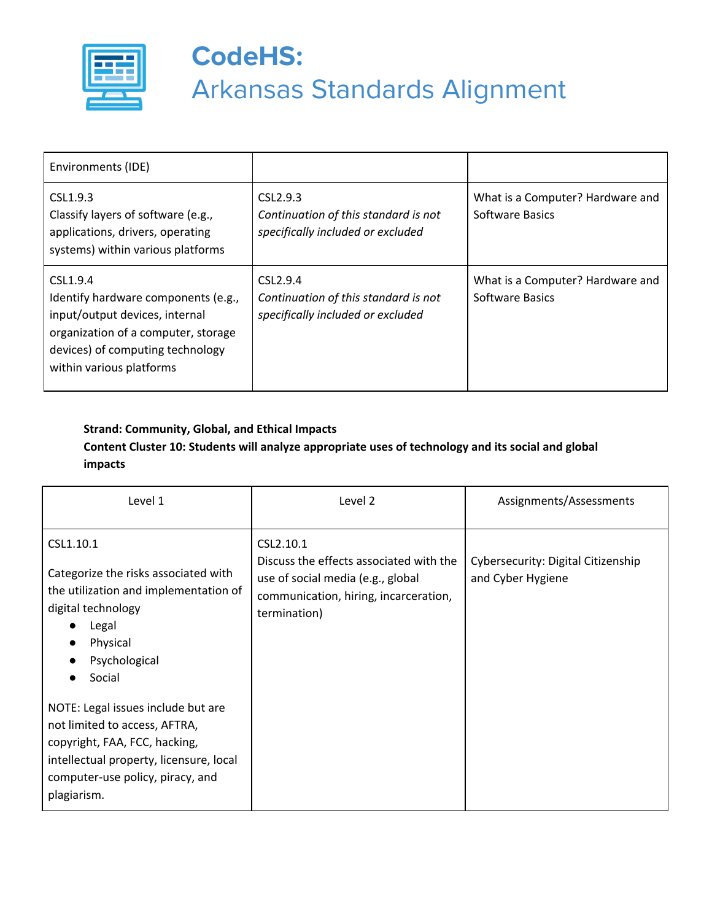

| Environments (IDE)                                                                                                                                                                       |                                                                                                   |                                                            |
|------------------------------------------------------------------------------------------------------------------------------------------------------------------------------------------|---------------------------------------------------------------------------------------------------|------------------------------------------------------------|
| CSL1.9.3<br>Classify layers of software (e.g.,<br>applications, drivers, operating<br>systems) within various platforms                                                                  | CSL2.9.3<br>Continuation of this standard is not<br>specifically included or excluded             | What is a Computer? Hardware and<br><b>Software Basics</b> |
| CSL1.9.4<br>Identify hardware components (e.g.,<br>input/output devices, internal<br>organization of a computer, storage<br>devices) of computing technology<br>within various platforms | CSL <sub>2.9.4</sub><br>Continuation of this standard is not<br>specifically included or excluded | What is a Computer? Hardware and<br><b>Software Basics</b> |

### **Strand: Community, Global, and Ethical Impacts Content Cluster 10: Students will analyze appropriate uses of technology and its social and global impacts**

| Level 1                                                                                                                                                                                                 | Level 2                                                                                                                                            | Assignments/Assessments                                 |
|---------------------------------------------------------------------------------------------------------------------------------------------------------------------------------------------------------|----------------------------------------------------------------------------------------------------------------------------------------------------|---------------------------------------------------------|
| CSL1.10.1<br>Categorize the risks associated with<br>the utilization and implementation of<br>digital technology<br>Legal<br>$\bullet$<br>Physical<br>$\bullet$<br>Psychological<br>$\bullet$<br>Social | CSL2.10.1<br>Discuss the effects associated with the<br>use of social media (e.g., global<br>communication, hiring, incarceration,<br>termination) | Cybersecurity: Digital Citizenship<br>and Cyber Hygiene |
| NOTE: Legal issues include but are<br>not limited to access, AFTRA,<br>copyright, FAA, FCC, hacking,<br>intellectual property, licensure, local<br>computer-use policy, piracy, and<br>plagiarism.      |                                                                                                                                                    |                                                         |